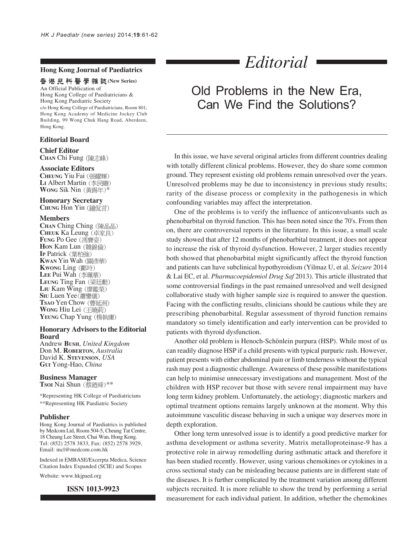#### **Hong Kong Journal of Paediatrics**

# 香港兒科醫學雜誌(New Series)

An Official Publication of Hong Kong College of Paediatricians & Hong Kong Paediatric Society c/o Hong Kong College of Paediatricians, Room 801, Hong Kong Academy of Medicine Jockey Club Building, 99 Wong Chuk Hang Road, Aberdeen, Hong Kong.

## **Editorial Board**

**Chief Editor CHAN** Chi Fung

#### **Associate Editors**

**CHEUNG** Yiu Fai (張耀輝) LI Albert Martin (李民瞻) **WONG** Sik Nin (黃錫年)\*

### **Honorary Secretary**

**CHUNG** Hon Yin (鐘侃言)

#### **Members**

CHAN Ching Ching (陳晶晶) **CHEUK** Ka Leung **Fung** Po Gee (馮寶姿) **Hon Kam Lun** (韓錦倫) IP Patrick (葉柏強) **KWAN** Yin Wah **KWONG** Ling (鄺玲) LEE Pui Wah (李珮華) LEUNG Ting Fan (梁廷勳) LIU Kam Wing (廖鑑榮) **SIU** Luen Yee (蕭鑾儀) **TSAO** Yen Chow **WONG** Hiu Lei YEUNG Chap Yung (楊執庸)

#### **Honorary Advisors to the Editorial Board**

Andrew **BUSH**, *United Kingdom* Don M. **ROBERTON**, *Australia* David K. **STEVENSON**, *USA* **GUI** Yong-Hao, *China*

#### **Business Manager**

**TsoI** Nai Shun (蔡廼舜)\*\*

\*Representing HK College of Paediatricians \*\*Representing HK Paediatric Society

#### **Publisher**

Hong Kong Journal of Paediatrics is published by Medcom Ltd, Room 504-5, Cheung Tat Centre, 18 Cheung Lee Street, Chai Wan, Hong Kong. Tel: (852) 2578 3833, Fax: (852) 2578 3929, Email: mcl@medcom.com.hk

Indexed in EMBASE/Excerpta Medica, Science Citation Index Expanded (SCIE) and Scopus

Website: www.hkjpaed.org

#### **ISSN 1013-9923**

# *Editorial*

# Old Problems in the New Era, Can We Find the Solutions?

In this issue, we have several original articles from different countries dealing with totally different clinical problems. However, they do share some common ground. They represent existing old problems remain unresolved over the years. Unresolved problems may be due to inconsistency in previous study results; rarity of the disease process or complexity in the pathogenesis in which confounding variables may affect the interpretation.

One of the problems is to verify the influence of anticonvulsants such as phenobarbital on thyroid function. This has been noted since the 70's. From then on, there are controversial reports in the literature. In this issue, a small scale study showed that after 12 months of phenobarbital treatment, it does not appear to increase the risk of thyroid dysfunction. However, 2 larger studies recently both showed that phenobarbital might significantly affect the thyroid function and patients can have subclinical hypothyroidism (Yilmaz U, et al. *Seizure* 2014 & Lai EC, et al. *Pharmacoepidemiol Drug Saf* 2013). This article illustrated that some controversial findings in the past remained unresolved and well designed collaborative study with higher sample size is required to answer the question. Facing with the conflicting results, clinicians should be cautious while they are prescribing phenobarbital. Regular assessment of thyroid function remains mandatory so timely identification and early intervention can be provided to patients with thyroid dysfunction.

Another old problem is Henoch-Schönlein purpura (HSP). While most of us can readily diagnose HSP if a child presents with typical purpuric rash. However, patient presents with either abdominal pain or limb tenderness without the typical rash may post a diagnostic challenge. Awareness of these possible manifestations can help to minimise unnecessary investigations and management. Most of the children with HSP recover but those with severe renal impairment may have long term kidney problem. Unfortunately, the aetiology; diagnostic markers and optimal treatment options remains largely unknown at the moment. Why this autoimmune vasculitic disease behaving in such a unique way deserves more in depth exploration.

Other long term unresolved issue is to identify a good predictive marker for asthma development or asthma severity. Matrix metalloproteinase-9 has a protective role in airway remodelling during asthmatic attack and therefore it has been studied recently. However, using various chemokines or cytokines in a cross sectional study can be misleading because patients are in different state of the diseases. It is further complicated by the treatment variation among different subjects recruited. It is more reliable to show the trend by performing a serial measurement for each individual patient. In addition, whether the chemokines